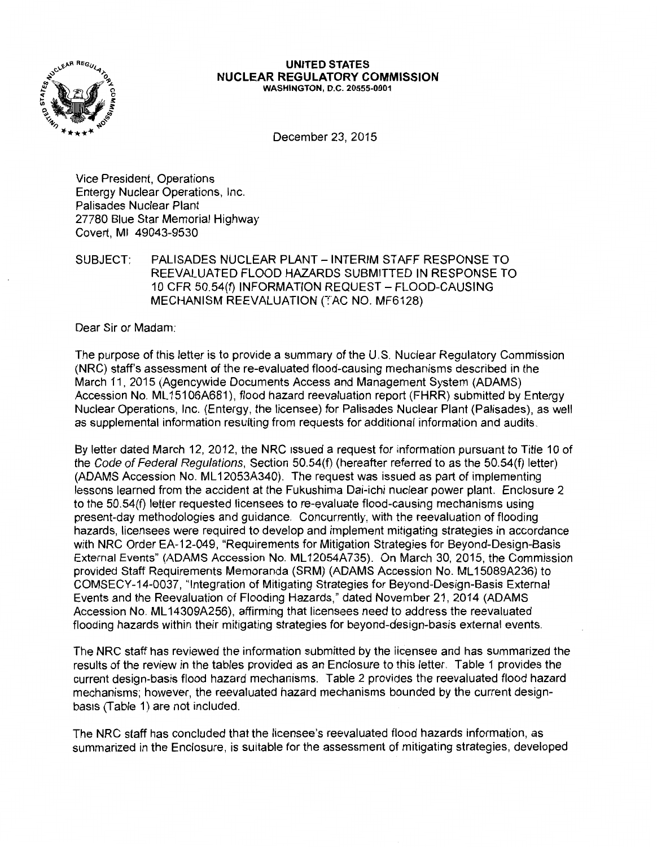

#### **UNITED STATES NUCLEAR REGULATORY COMMISSION**  WASHINGTON, D.C. 20555-0001

December 23, 2015

Vice President, Operations Entergy Nuclear Operations, Inc. Palisades Nuclear Plant 27780 Blue Star Memorial Highway Covert, Ml 49043-9530

SUBJECT: PALISADES NUCLEAR PLANT - INTERIM STAFF RESPONSE TO REEVALUATED FLOOD HAZARDS SUBMITTED IN RESPONSE TO 10 CFR 50.54(f) INFORMATION REQUEST - FLOOD-CAUSING MECHANISM REEVALUATION (TAC NO. MF6128)

Dear Sir or Madam:

The purpose of this letter is to provide a summary of the U.S. Nuclear Regulatory Commission (NRC) staff's assessment of the re-evaluated flood-causing mechanisms described in the March 11, 2015 (Agencywide Documents Access and Management System (ADAMS) Accession No. ML 15106A681 ), flood hazard reevaluation report (FHRR) submitted by Entergy Nuclear Operations, Inc. (Entergy, the licensee) for Palisades Nuclear Plant (Palisades), as well as supplemental information resulting from requests for additional information and audits.

By letter dated March 12, 2012, the NRC issued a request for information pursuant to Title 10 of the Code of Federal Regulations, Section 50.54(f) (hereafter referred to as the 50.54(f) letter) (ADAMS Accession No. ML 12053A340). The request was issued as part of implementing lessons learned from the accident at the Fukushima Dai-ichi nuclear power plant. Enclosure 2 to the 50.54(f) letter requested licensees to re-evaluate flood-causing mechanisms using present-day methodologies and guidance. Concurrently, with the reevaluation of flooding hazards, licensees were required to develop and implement mitigating strategies in accordance with NRC Order EA-12-049, "Requirements for Mitigation Strategies for Beyond-Design-Basis External Events" (ADAMS Accession No. ML 12054A735). On March 30, 2015, the Commission provided Staff Requirements Memoranda (SRM) (ADAMS Accession No. ML 15089A236) to COMSECY-14-0037, "Integration of Mitigating Strategies for Beyond-Design-Basis External Events and the Reevaluation of Flooding Hazards," dated November 21, 2014 (ADAMS Accession No. ML 14309A256), affirming that licensees need to address the reevaluated flooding hazards within their mitigating strategies for beyond-design-basis external events.

The NRC staff has reviewed the information submitted by the licensee and has summarized the results of the review in the tables provided as an Enclosure to this letter, Table 1 provides the current design-basis flood hazard mechanisms. Table 2 provides the reevaluated flood hazard mechanisms; however, the reevaluated hazard mechanisms bounded by the current designbasis (Table 1) are not included.

The NRC staff has concluded that the licensee's reevaluated flood hazards information, as summarized in the Enclosure, is suitable for the assessment of mitigating strategies, developed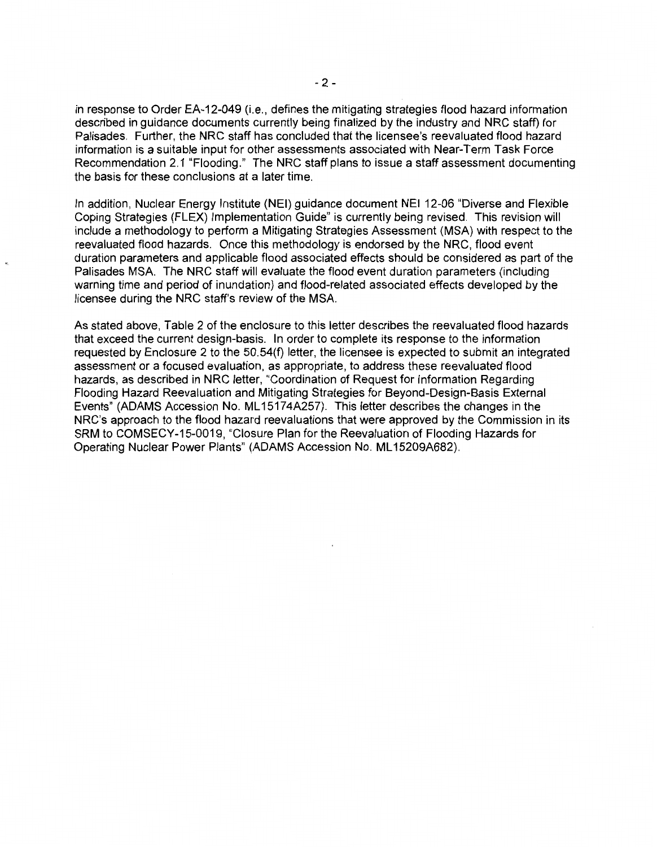in response to Order EA-12-049 (i.e., defines the mitigating strategies flood hazard information described in guidance documents currently being finalized by the industry and NRC staff) for Palisades. Further, the NRC staff has concluded that the licensee's reevaluated flood hazard information is a suitable input for other assessments associated with Near-Term Task Force Recommendation 2.1 "Flooding." The NRC staff plans to issue a staff assessment documenting the basis for these conclusions at a later time.

In addition, Nuclear Energy Institute (NEI) guidance document NEI 12-06 "Diverse and Flexible Coping Strategies (FLEX) Implementation Guide" is currently being revised. This revision will include a methodology to perform a Mitigating Strategies Assessment (MSA) with respect to the reevaluated flood hazards. Once this methodology is endorsed by the NRC, flood event duration parameters and applicable flood associated effects should be considered as part of the Palisades MSA. The NRC staff will evaluate the flood event duration parameters (including warning time and period of inundation) and flood-related associated effects developed by the licensee during the NRC staff's review of the MSA.

As stated above, Table 2 of the enclosure to this letter describes the reevaluated flood hazards that exceed the current design-basis. In order to complete its response to the information requested by Enclosure 2 to the 50.54(f) letter, the licensee is expected to submit an integrated assessment or a focused evaluation, as appropriate, to address these reevaluated flood hazards, as described in NRC letter, "Coordination of Request for Information Regarding Flooding Hazard Reevaluation and Mitigating Strategies for Beyond-Design-Basis External Events" (ADAMS Accession No. ML 15174A257). This letter describes the changes in the NRC's approach to the flood hazard reevaluations that were approved by the Commission in its SRM to COMSECY-15-0019, "Closure Plan for the Reevaluation of Flooding Hazards for Operating Nuclear Power Plants" (ADAMS Accession No. ML15209A682).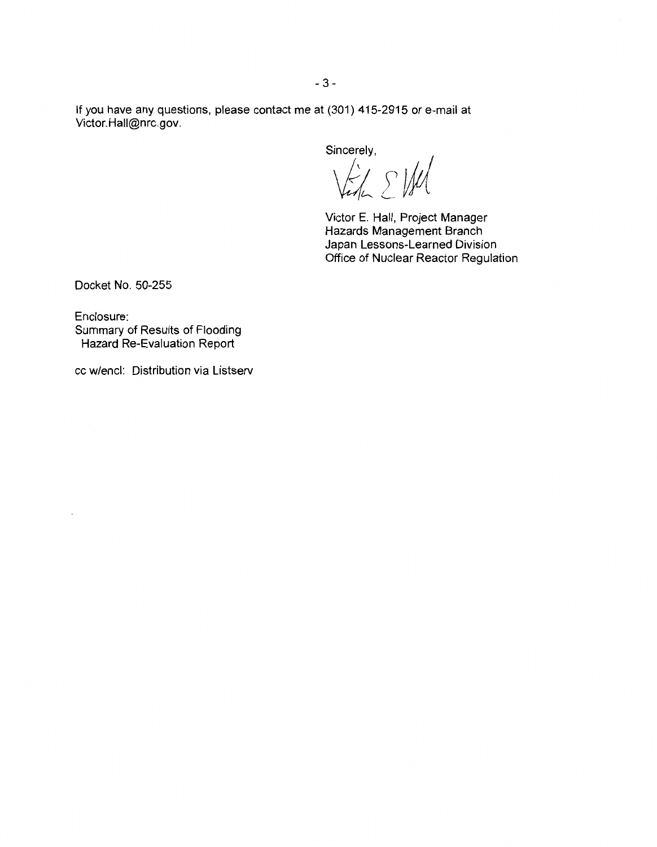If you have any questions, please contact me at (301) 415-2915 or e-mail at Victor. Hall@nrc.gov.

Sincerely,

VEL SIM

Victor E. Hall, Project Manager Hazards Management Branch Japan Lessons-Learned Division Office of Nuclear Reactor Regulation

Docket No. 50-255

 $\overline{\phantom{a}}$ 

Enclosure: Summary of Results of Flooding Hazard Re-Evaluation Report

cc w/encl: Distribution via Listserv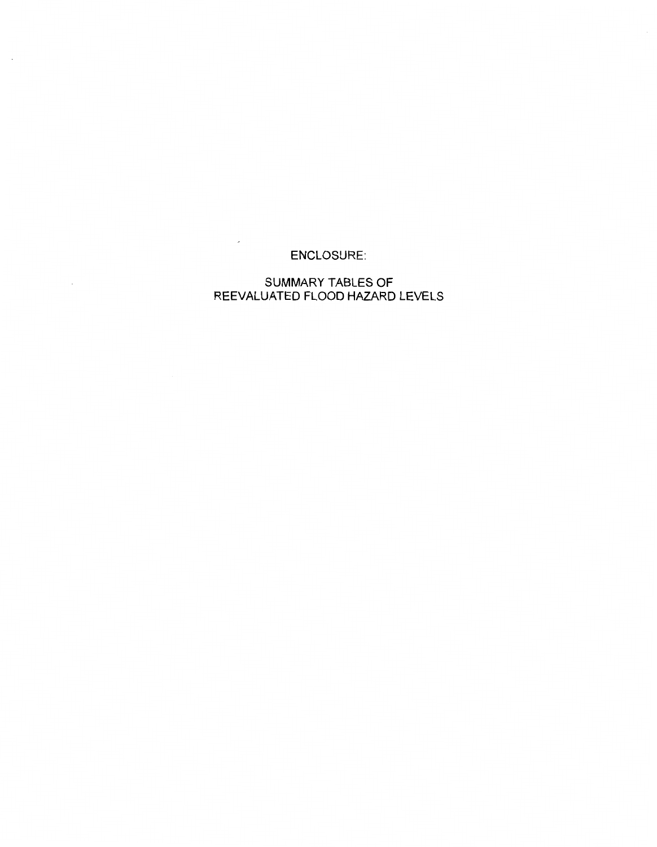# ENCLOSURE:

 $\overline{\phantom{a}}$ 

 $\sim$ 

 $\sim$ 

# SUMMARY TABLES OF REEVALUATED FLOOD HAZARD LEVELS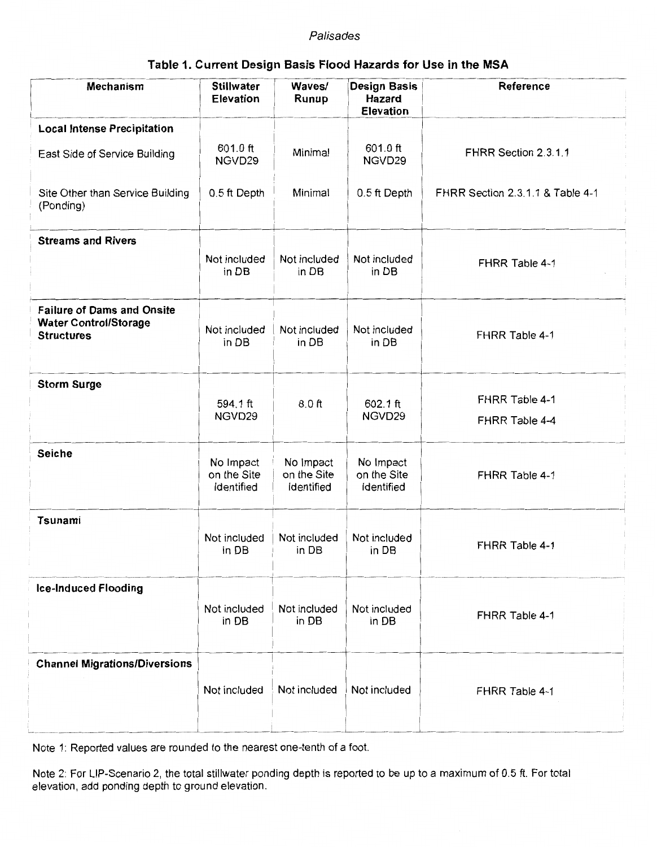### Palisades

| Table 1. Current Design Basis Flood Hazards for Use in the MSA |  |
|----------------------------------------------------------------|--|
|----------------------------------------------------------------|--|

| <b>Mechanism</b>                                                                       | <b>Stillwater</b><br><b>Elevation</b>  | Waves/<br>Runup                        | <b>Design Basis</b><br>Hazard<br><b>Elevation</b> | Reference                        |
|----------------------------------------------------------------------------------------|----------------------------------------|----------------------------------------|---------------------------------------------------|----------------------------------|
| <b>Local Intense Precipitation</b>                                                     |                                        |                                        |                                                   |                                  |
| East Side of Service Building                                                          | 601.0 ft<br>NGVD29                     | Minimal                                | 601.0 ft<br>NGVD29                                | FHRR Section 2.3.1.1             |
| Site Other than Service Building<br>(Ponding)                                          | 0.5 ft Depth                           | Minimal                                | 0.5 ft Depth                                      | FHRR Section 2.3.1.1 & Table 4-1 |
| <b>Streams and Rivers</b>                                                              |                                        |                                        |                                                   |                                  |
|                                                                                        | Not included<br>in DB                  | Not included<br>in DB                  | Not included<br>in DB                             | FHRR Table 4-1                   |
| <b>Failure of Dams and Onsite</b><br><b>Water Control/Storage</b><br><b>Structures</b> | Not included<br>in DB                  | Not included<br>in DB                  | Not included<br>in DB                             | FHRR Table 4-1                   |
| <b>Storm Surge</b>                                                                     |                                        |                                        |                                                   |                                  |
|                                                                                        | 594.1 ft                               | $8.0$ ft                               | 602.1 ft                                          | FHRR Table 4-1                   |
|                                                                                        | NGVD29                                 |                                        | NGVD29                                            | FHRR Table 4-4                   |
| <b>Seiche</b>                                                                          | No Impact<br>on the Site<br>Identified | No Impact<br>on the Site<br>Identified | No Impact<br>on the Site<br>Identified            | FHRR Table 4-1                   |
| Tsunami                                                                                |                                        |                                        |                                                   |                                  |
|                                                                                        | Not included<br>in DB                  | Not included<br>in DB                  | Not included<br>in DB                             | FHRR Table 4-1                   |
| <b>Ice-Induced Flooding</b>                                                            | Not included<br>in DB                  | Not included<br>in DB                  | Not included<br>in DB                             | FHRR Table 4-1                   |
| <b>Channel Migrations/Diversions</b>                                                   | Not included                           | Not included                           | Not included                                      | FHRR Table 4-1                   |

Note 1: Reported values are rounded to the nearest one-tenth of a foot.

Note 2: For LIP-Scenario 2, the total stillwater ponding depth is reported to be up to a maximum of 0.5 ft. For total elevation, add ponding depth to ground elevation.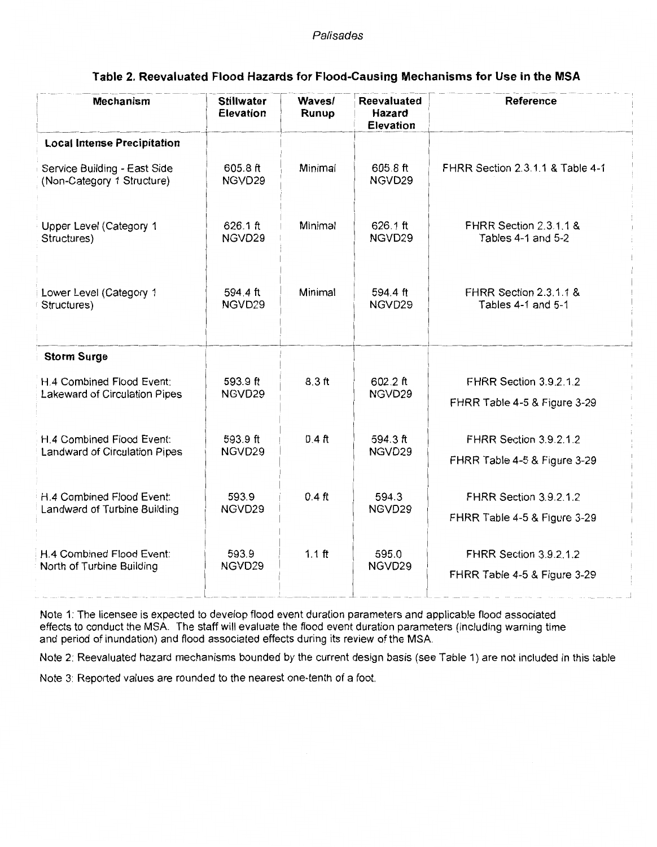#### Palisades

| <b>Mechanism</b>                                           | <b>Stillwater</b><br><b>Elevation</b> | Waves/<br>Runup | <b>Reevaluated</b><br><b>Hazard</b><br><b>Elevation</b> | <b>Reference</b>                  |
|------------------------------------------------------------|---------------------------------------|-----------------|---------------------------------------------------------|-----------------------------------|
| <b>Local Intense Precipitation</b>                         |                                       |                 |                                                         |                                   |
| Service Building - East Side<br>(Non-Category 1 Structure) | 605.8 ft<br>NGVD29                    | Minimal         | 605.8 ft<br>NGVD29                                      | FHRR Section 2.3.1.1 & Table 4-1  |
| Upper Level (Category 1                                    | 626.1 ft                              | Minimal         | 626.1 ft                                                | <b>FHRR Section 2.3.1.1 &amp;</b> |
| Structures)                                                | NGVD29                                |                 | NGVD29                                                  | Tables 4-1 and 5-2                |
| Lower Level (Category 1                                    | 594.4 ft                              | Minimal         | 594.4 ft                                                | FHRR Section 2.3.1.1 &            |
| Structures)                                                | NGVD29                                |                 | NGVD29                                                  | Tables 4-1 and 5-1                |
| <b>Storm Surge</b>                                         |                                       |                 |                                                         |                                   |
| H.4 Combined Flood Event:                                  | 593.9 ft                              | $8.3$ ft        | 602.2 ft                                                | FHRR Section 3.9.2.1.2            |
| Lakeward of Circulation Pipes                              | NGVD29                                |                 | NGVD29                                                  | FHRR Table 4-5 & Figure 3-29      |
| H.4 Combined Flood Event:                                  | 593.9 ft                              | $0.4$ ft        | 594.3 ft                                                | FHRR Section 3.9.2.1.2            |
| Landward of Circulation Pipes                              | NGVD29                                |                 | NGVD29                                                  | FHRR Table 4-5 & Figure 3-29      |
| H.4 Combined Flood Event:                                  | 593.9                                 | $0.4$ ft        | 594.3                                                   | FHRR Section 3.9.2.1.2            |
| Landward of Turbine Building                               | NGVD29                                |                 | NGVD29                                                  | FHRR Table 4-5 & Figure 3-29      |
| H.4 Combined Flood Event:                                  | 593.9                                 | $1.1$ ft        | 595.0                                                   | FHRR Section 3.9.2.1.2            |
| North of Turbine Building                                  | NGVD29                                |                 | NGVD29                                                  | FHRR Table 4-5 & Figure 3-29      |

## **Table 2. Reevaluated Flood Hazards for Flood-Causing Mechanisms for Use in the MSA**

Note 1: The licensee is expected to develop flood event duration parameters and applicable flood associated effects to conduct the MSA. The staff will evaluate the flood event duration parameters (including warning time and period of inundation) and flood associated effects during its review of the MSA

Note 2: Reevaluated hazard mechanisms bounded by the current design basis (see Table 1) are not included in this table

Note 3: Reported values are rounded to the nearest one-tenth of a foot.